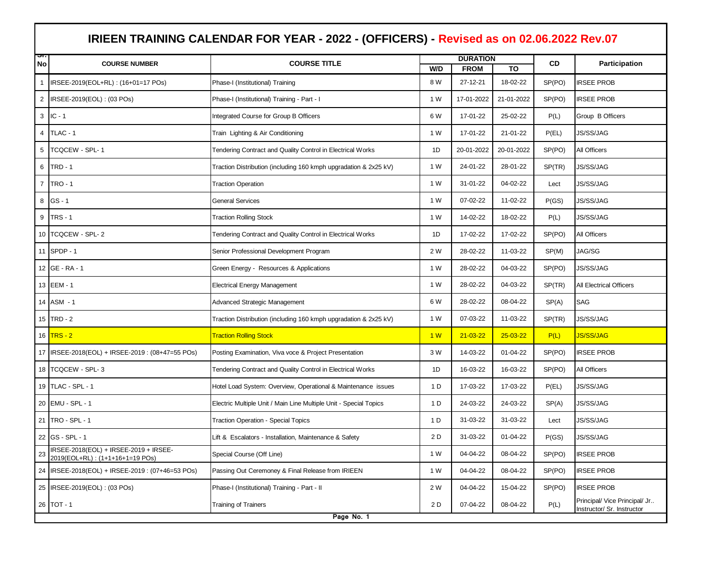|                | IRIEEN TRAINING CALENDAR FOR YEAR - 2022 - (OFFICERS) - Revised as on 02.06.2022 Rev.07 |                                                                   |     |                 |                |           |                                                             |  |  |
|----------------|-----------------------------------------------------------------------------------------|-------------------------------------------------------------------|-----|-----------------|----------------|-----------|-------------------------------------------------------------|--|--|
| অ<br>No        | <b>COURSE NUMBER</b>                                                                    | <b>COURSE TITLE</b>                                               |     | <b>DURATION</b> |                | <b>CD</b> | <b>Participation</b>                                        |  |  |
|                |                                                                                         |                                                                   | W/D | <b>FROM</b>     | TO             | SP(PO)    |                                                             |  |  |
|                | IRSEE-2019(EOL+RL): (16+01=17 POs)                                                      | Phase-I (Institutional) Training                                  | 8 W | 27-12-21        | 18-02-22       |           | <b>IRSEE PROB</b>                                           |  |  |
| 2              | IRSEE-2019(EOL): (03 POs)                                                               | Phase-I (Institutional) Training - Part - I                       | 1 W | 17-01-2022      | 21-01-2022     | SP(PO)    | <b>IRSEE PROB</b>                                           |  |  |
|                | $3$ IC - 1                                                                              | Integrated Course for Group B Officers                            | 6 W | 17-01-22        | 25-02-22       | P(L)      | Group B Officers                                            |  |  |
| 4              | TLAC - 1                                                                                | Train Lighting & Air Conditioning                                 | 1 W | 17-01-22        | 21-01-22       | P(EL)     | <b>JS/SS/JAG</b>                                            |  |  |
| 5              | TCQCEW - SPL-1                                                                          | Tendering Contract and Quality Control in Electrical Works        | 1D  | 20-01-2022      | 20-01-2022     | SP(PO)    | All Officers                                                |  |  |
| 6              | <b>TRD - 1</b>                                                                          | Traction Distribution (including 160 kmph upgradation & 2x25 kV)  | 1 W | 24-01-22        | 28-01-22       | SP(TR)    | <b>JS/SS/JAG</b>                                            |  |  |
| $\overline{7}$ | <b>TRO - 1</b>                                                                          | <b>Traction Operation</b>                                         | 1 W | 31-01-22        | 04-02-22       | Lect      | JS/SS/JAG                                                   |  |  |
| 8              | GS-1                                                                                    | <b>General Services</b>                                           | 1 W | 07-02-22        | 11-02-22       | P(GS)     | JS/SS/JAG                                                   |  |  |
| 9              | $TRS - 1$                                                                               | <b>Traction Rolling Stock</b>                                     | 1 W | 14-02-22        | 18-02-22       | P(L)      | JS/SS/JAG                                                   |  |  |
|                | 10 TCQCEW - SPL-2                                                                       | Tendering Contract and Quality Control in Electrical Works        | 1D  | 17-02-22        | 17-02-22       | SP(PO)    | All Officers                                                |  |  |
|                | 11 SPDP - 1                                                                             | Senior Professional Development Program                           | 2 W | 28-02-22        | 11-03-22       | SP(M)     | JAG/SG                                                      |  |  |
|                | 12 GE - RA - 1                                                                          | Green Energy - Resources & Applications                           | 1 W | 28-02-22        | 04-03-22       | SP(PO)    | JS/SS/JAG                                                   |  |  |
|                | 13 EEM - 1                                                                              | <b>Electrical Energy Management</b>                               | 1 W | 28-02-22        | 04-03-22       | SP(TR)    | All Electrical Officers                                     |  |  |
|                | 14 ASM - 1                                                                              | Advanced Strategic Management                                     | 6 W | 28-02-22        | 08-04-22       | SP(A)     | SAG                                                         |  |  |
|                | 15 $TRD - 2$                                                                            | Traction Distribution (including 160 kmph upgradation & 2x25 kV)  | 1 W | 07-03-22        | 11-03-22       | SP(TR)    | JS/SS/JAG                                                   |  |  |
|                | 16 <b>TRS</b> - 2                                                                       | <b>Traction Rolling Stock</b>                                     | 1W  | $21 - 03 - 22$  | $25 - 03 - 22$ | P(L)      | <b>JS/SS/JAG</b>                                            |  |  |
|                | 17 IRSEE-2018(EOL) + IRSEE-2019 : (08+47=55 POs)                                        | Posting Examination, Viva voce & Project Presentation             | 3 W | 14-03-22        | 01-04-22       | SP(PO)    | <b>IRSEE PROB</b>                                           |  |  |
|                | 18   TCQCEW - SPL-3                                                                     | Tendering Contract and Quality Control in Electrical Works        | 1D  | 16-03-22        | 16-03-22       | SP(PO)    | All Officers                                                |  |  |
|                | 19 TLAC - SPL - 1                                                                       | Hotel Load System: Overview, Operational & Maintenance issues     | 1 D | 17-03-22        | 17-03-22       | P(EL)     | <b>JS/SS/JAG</b>                                            |  |  |
|                | 20 EMU - SPL - 1                                                                        | Electric Multiple Unit / Main Line Multiple Unit - Special Topics | 1 D | 24-03-22        | 24-03-22       | SP(A)     | <b>JS/SS/JAG</b>                                            |  |  |
|                | 21 TRO - SPL - 1                                                                        | <b>Traction Operation - Special Topics</b>                        | 1 D | 31-03-22        | 31-03-22       | Lect      | JS/SS/JAG                                                   |  |  |
|                | 22 GS - SPL - 1                                                                         | Lift & Escalators - Installation, Maintenance & Safety            | 2 D | 31-03-22        | 01-04-22       | P(GS)     | JS/SS/JAG                                                   |  |  |
| 23             | IRSEE-2018(EOL) + IRSEE-2019 + IRSEE-<br>2019(EOL+RL): (1+1+16+1=19 POs)                | Special Course (Off Line)                                         | 1 W | 04-04-22        | 08-04-22       | SP(PO)    | <b>IRSEE PROB</b>                                           |  |  |
|                | 24 IRSEE-2018(EOL) + IRSEE-2019 : (07+46=53 POs)                                        | Passing Out Ceremoney & Final Release from IRIEEN                 | 1 W | 04-04-22        | 08-04-22       | SP(PO)    | <b>IRSEE PROB</b>                                           |  |  |
|                | 25 IRSEE-2019(EOL): (03 POs)                                                            | Phase-I (Institutional) Training - Part - II                      | 2 W | 04-04-22        | 15-04-22       | SP(PO)    | <b>IRSEE PROB</b>                                           |  |  |
|                | 26 TOT - 1                                                                              | <b>Training of Trainers</b>                                       | 2 D | 07-04-22        | 08-04-22       | P(L)      | Principal/ Vice Principal/ Jr<br>Instructor/ Sr. Instructor |  |  |
|                | Page No. 1                                                                              |                                                                   |     |                 |                |           |                                                             |  |  |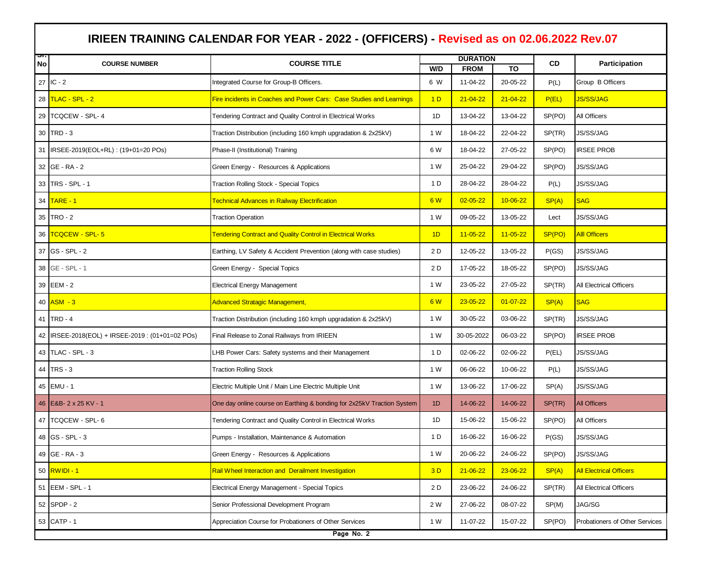|    |                                                    |                                                                        | <b>DURATION</b> |                |                |        |                                |
|----|----------------------------------------------------|------------------------------------------------------------------------|-----------------|----------------|----------------|--------|--------------------------------|
| No | <b>COURSE NUMBER</b>                               | <b>COURSE TITLE</b>                                                    | W/D             | <b>FROM</b>    | TO             | CD     | Participation                  |
|    | 27 IC - 2                                          | Integrated Course for Group-B Officers.                                | 6 W             | 11-04-22       | 20-05-22       | P(L)   | Group B Officers               |
|    | 28 TLAC - SPL - 2                                  | Fire incidents in Coaches and Power Cars: Case Studies and Learnings   | 1 <sub>D</sub>  | $21 - 04 - 22$ | $21 - 04 - 22$ | P(EL)  | <b>JS/SS/JAG</b>               |
|    | 29 TCQCEW - SPL- 4                                 | Tendering Contract and Quality Control in Electrical Works             | 1D              | 13-04-22       | 13-04-22       | SP(PO) | All Officers                   |
|    | 30 TRD - 3                                         | Traction Distribution (including 160 kmph upgradation & 2x25kV)        | 1 W             | 18-04-22       | 22-04-22       | SP(TR) | JS/SS/JAG                      |
|    | 31 IRSEE-2019(EOL+RL): (19+01=20 POs)              | Phase-II (Institutional) Training                                      | 6 W             | 18-04-22       | 27-05-22       | SP(PO) | <b>IRSEE PROB</b>              |
|    | 32 GE - RA - 2                                     | Green Energy - Resources & Applications                                | 1 W             | 25-04-22       | 29-04-22       | SP(PO) | JS/SS/JAG                      |
|    | 33 TRS - SPL - 1                                   | <b>Traction Rolling Stock - Special Topics</b>                         | 1 D             | 28-04-22       | 28-04-22       | P(L)   | JS/SS/JAG                      |
|    | 34 TARE - 1                                        | <b>Technical Advances in Railway Electrification</b>                   | 6 W             | $02 - 05 - 22$ | 10-06-22       | SP(A)  | <b>SAG</b>                     |
|    | 35 TRO - 2                                         | <b>Traction Operation</b>                                              | 1 W             | 09-05-22       | 13-05-22       | Lect   | JS/SS/JAG                      |
|    | 36 TCQCEW - SPL-5                                  | <b>Tendering Contract and Quality Control in Electrical Works</b>      | 1D              | $11 - 05 - 22$ | $11 - 05 - 22$ | SP(PO) | <b>Alll Officers</b>           |
|    | 37 GS - SPL - 2                                    | Earthing, LV Safety & Accident Prevention (along with case studies)    | 2 D             | 12-05-22       | 13-05-22       | P(GS)  | <b>JS/SS/JAG</b>               |
|    | 38 GE - SPL - 1                                    | Green Energy - Special Topics                                          | 2 D             | 17-05-22       | 18-05-22       | SP(PO) | JS/SS/JAG                      |
|    | 39 EEM - 2                                         | <b>Electrical Energy Management</b>                                    | 1 W             | 23-05-22       | 27-05-22       | SP(TR) | All Electrical Officers        |
|    | $40$ $ASM - 3$                                     | <b>Advanced Stratagic Management,</b>                                  | 6 W             | $23 - 05 - 22$ | $01 - 07 - 22$ | SP(A)  | <b>SAG</b>                     |
|    | 41 TRD - 4                                         | Traction Distribution (including 160 kmph upgradation & 2x25kV)        | 1 W             | 30-05-22       | 03-06-22       | SP(TR) | JS/SS/JAG                      |
|    | 42   IRSEE-2018(EOL) + IRSEE-2019 : (01+01=02 POs) | Final Release to Zonal Railways from IRIEEN                            | 1 W             | 30-05-2022     | 06-03-22       | SP(PO) | <b>IRSEE PROB</b>              |
|    | 43 TLAC - SPL - 3                                  | LHB Power Cars: Safety systems and their Management                    | 1 D             | 02-06-22       | 02-06-22       | P(EL)  | JS/SS/JAG                      |
|    | 44 TRS - 3                                         | <b>Traction Rolling Stock</b>                                          | 1 W             | 06-06-22       | 10-06-22       | P(L)   | JS/SS/JAG                      |
|    | 45 EMU - 1                                         | Electric Multiple Unit / Main Line Electric Multiple Unit              | 1 W             | 13-06-22       | 17-06-22       | SP(A)  | JS/SS/JAG                      |
|    | 46 E&B- 2 x 25 KV - 1                              | One day online course on Earthing & bonding for 2x25kV Traction System | 1 <sub>D</sub>  | 14-06-22       | 14-06-22       | SP(TR) | <b>All Officers</b>            |
|    | 47   TCQCEW - SPL- 6                               | Tendering Contract and Quality Control in Electrical Works             | 1D              | 15-06-22       | 15-06-22       | SP(PO) | All Officers                   |
|    | 48 GS - SPL - 3                                    | Pumps - Installation, Maintenance & Automation                         | 1 D             | 16-06-22       | 16-06-22       | P(GS)  | JS/SS/JAG                      |
|    | 49 GE - RA - 3                                     | Green Energy - Resources & Applications                                | 1 W             | 20-06-22       | 24-06-22       | SP(PO) | JS/SS/JAG                      |
|    | 50 RWIDI - 1                                       | Rail Wheel Interaction and Derailment Investigation                    | 3D              | $21 - 06 - 22$ | 23-06-22       | SP(A)  | <b>All Electrical Officers</b> |
|    | 51 EEM - SPL - 1                                   | Electrical Energy Management - Special Topics                          | 2 D             | 23-06-22       | 24-06-22       | SP(TR) | All Electrical Officers        |
|    | 52 SPDP - 2                                        | Senior Professional Development Program                                | 2 W             | 27-06-22       | 08-07-22       | SP(M)  | JAG/SG                         |
|    | 53 CATP - 1                                        | Appreciation Course for Probationers of Other Services                 | 1 W             | 11-07-22       | 15-07-22       | SP(PO) | Probationers of Other Services |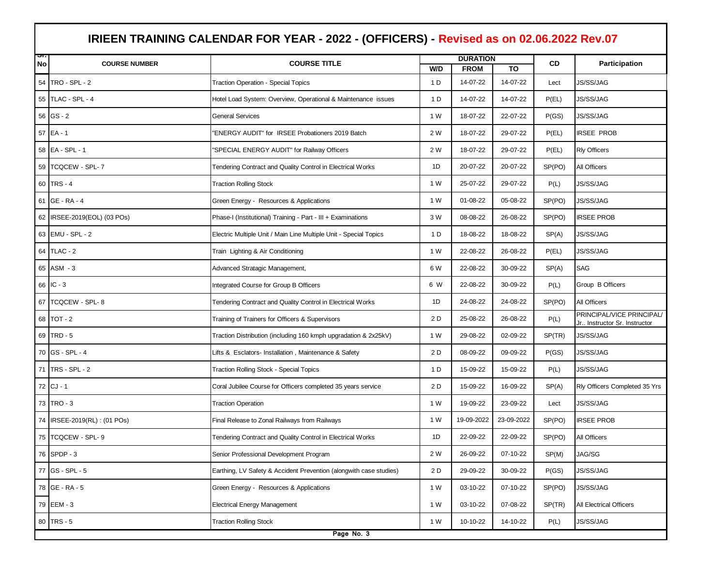|    | IRIEEN TRAINING CALENDAR FOR YEAR - 2022 - (OFFICERS) - Revised as on 02.06.2022 Rev.07 |                                                                    |                 |             |            |        |                                                           |  |
|----|-----------------------------------------------------------------------------------------|--------------------------------------------------------------------|-----------------|-------------|------------|--------|-----------------------------------------------------------|--|
| ज  |                                                                                         |                                                                    | <b>DURATION</b> |             |            |        |                                                           |  |
| No | <b>COURSE NUMBER</b>                                                                    | <b>COURSE TITLE</b>                                                | W/D             | <b>FROM</b> | <b>TO</b>  | CD     | <b>Participation</b>                                      |  |
|    | 54 TRO - SPL - 2                                                                        | Traction Operation - Special Topics                                | 1 D             | 14-07-22    | 14-07-22   | Lect   | <b>JS/SS/JAG</b>                                          |  |
|    | 55 TLAC - SPL - 4                                                                       | Hotel Load System: Overview, Operational & Maintenance issues      | 1 D             | 14-07-22    | 14-07-22   | P(EL)  | JS/SS/JAG                                                 |  |
|    | $56$ GS - 2                                                                             | <b>General Services</b>                                            | 1 W             | 18-07-22    | 22-07-22   | P(GS)  | JS/SS/JAG                                                 |  |
| 57 | $EA - 1$                                                                                | 'ENERGY AUDIT" for IRSEE Probationers 2019 Batch                   | 2 W             | 18-07-22    | 29-07-22   | P(EL)  | <b>IRSEE PROB</b>                                         |  |
|    | 58 EA - SPL - 1                                                                         | 'SPECIAL ENERGY AUDIT" for Railway Officers                        | 2 W             | 18-07-22    | 29-07-22   | P(EL)  | <b>Rly Officers</b>                                       |  |
|    | 59   TCQCEW - SPL-7                                                                     | Tendering Contract and Quality Control in Electrical Works         | 1D              | 20-07-22    | 20-07-22   | SP(PO) | All Officers                                              |  |
|    | 60 TRS - 4                                                                              | <b>Traction Rolling Stock</b>                                      | 1 W             | 25-07-22    | 29-07-22   | P(L)   | JS/SS/JAG                                                 |  |
| 61 | <b>GE - RA - 4</b>                                                                      | Green Energy - Resources & Applications                            | 1 W             | 01-08-22    | 05-08-22   | SP(PO) | JS/SS/JAG                                                 |  |
|    | 62 IRSEE-2019(EOL) (03 POs)                                                             | Phase-I (Institutional) Training - Part - III + Examinations       | 3 W             | 08-08-22    | 26-08-22   | SP(PO) | <b>IRSEE PROB</b>                                         |  |
|    | 63 EMU - SPL - 2                                                                        | Electric Multiple Unit / Main Line Multiple Unit - Special Topics  | 1 D             | 18-08-22    | 18-08-22   | SP(A)  | JS/SS/JAG                                                 |  |
|    | 64 TLAC - 2                                                                             | Train Lighting & Air Conditioning                                  | 1 W             | 22-08-22    | 26-08-22   | P(EL)  | JS/SS/JAG                                                 |  |
|    | 65 ASM - 3                                                                              | Advanced Stratagic Management,                                     | 6 W             | 22-08-22    | 30-09-22   | SP(A)  | SAG                                                       |  |
|    | 66 IC - 3                                                                               | Integrated Course for Group B Officers                             | 6 W             | 22-08-22    | 30-09-22   | P(L)   | Group B Officers                                          |  |
| 67 | <b>TCQCEW - SPL-8</b>                                                                   | Tendering Contract and Quality Control in Electrical Works         | 1D              | 24-08-22    | 24-08-22   | SP(PO) | All Officers                                              |  |
|    | 68 TOT - 2                                                                              | Training of Trainers for Officers & Supervisors                    | 2 D             | 25-08-22    | 26-08-22   | P(L)   | PRINCIPAL/VICE PRINCIPAL/<br>Jr Instructor Sr. Instructor |  |
|    | 69 TRD - 5                                                                              | Traction Distribution (including 160 kmph upgradation & 2x25kV)    | 1 W             | 29-08-22    | 02-09-22   | SP(TR) | JS/SS/JAG                                                 |  |
|    | 70 GS - SPL - 4                                                                         | Lifts & Esclators- Installation, Maintenance & Safety              | 2 D             | 08-09-22    | 09-09-22   | P(GS)  | JS/SS/JAG                                                 |  |
|    | 71   TRS - SPL - 2                                                                      | Traction Rolling Stock - Special Topics                            | 1 D             | 15-09-22    | 15-09-22   | P(L)   | JS/SS/JAG                                                 |  |
|    | 72 CJ - 1                                                                               | Coral Jubilee Course for Officers completed 35 years service       | 2 D             | 15-09-22    | 16-09-22   | SP(A)  | Rly Officers Completed 35 Yrs                             |  |
|    | 73 TRO - 3                                                                              | <b>Traction Operation</b>                                          | 1 W             | 19-09-22    | 23-09-22   | Lect   | JS/SS/JAG                                                 |  |
| 74 | IRSEE-2019(RL): (01 POs)                                                                | Final Release to Zonal Railways from Railways                      | 1 W             | 19-09-2022  | 23-09-2022 | SP(PO) | <b>IRSEE PROB</b>                                         |  |
|    | 75 TCQCEW - SPL- 9                                                                      | Tendering Contract and Quality Control in Electrical Works         | 1D              | 22-09-22    | 22-09-22   | SP(PO) | All Officers                                              |  |
|    | 76 SPDP - 3                                                                             | Senior Professional Development Program                            | 2 W             | 26-09-22    | 07-10-22   | SP(M)  | JAG/SG                                                    |  |
|    | 77 GS - SPL - 5                                                                         | Earthing, LV Safety & Accident Prevention (alongwith case studies) | 2 D             | 29-09-22    | 30-09-22   | P(GS)  | JS/SS/JAG                                                 |  |
|    | 78 GE - RA - 5                                                                          | Green Energy - Resources & Applications                            | 1 W             | 03-10-22    | 07-10-22   | SP(PO) | JS/SS/JAG                                                 |  |
|    | 79 EEM - 3                                                                              | <b>Electrical Energy Management</b>                                | 1 W             | 03-10-22    | 07-08-22   | SP(TR) | All Electrical Officers                                   |  |
|    | 80 TRS - 5                                                                              | <b>Traction Rolling Stock</b>                                      | 1 W             | 10-10-22    | 14-10-22   | P(L)   | JS/SS/JAG                                                 |  |
|    | Page No. 3                                                                              |                                                                    |                 |             |            |        |                                                           |  |